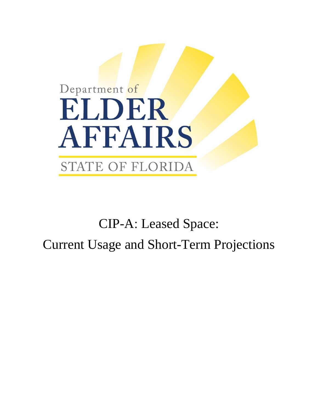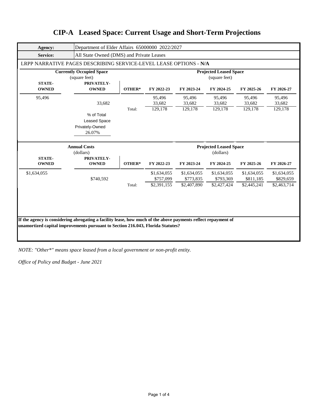| Agency:                                          | Department of Elder Affairs 65000000 2022/2027                    |        |                                                |                          |                          |                          |                          |  |  |
|--------------------------------------------------|-------------------------------------------------------------------|--------|------------------------------------------------|--------------------------|--------------------------|--------------------------|--------------------------|--|--|
| <b>Service:</b>                                  | All State Owned (DMS) and Private Leases                          |        |                                                |                          |                          |                          |                          |  |  |
|                                                  | LRPP NARRATIVE PAGES DESCRIBING SERVICE-LEVEL LEASE OPTIONS - N/A |        |                                                |                          |                          |                          |                          |  |  |
| <b>Currently Occupied Space</b><br>(square feet) |                                                                   |        | <b>Projected Leased Space</b><br>(square feet) |                          |                          |                          |                          |  |  |
| <b>STATE-</b><br><b>OWNED</b>                    | PRIVATELY-<br><b>OWNED</b>                                        | OTHER* | FY 2022-23                                     | FY 2023-24               | FY 2024-25               | FY 2025-26               | FY 2026-27               |  |  |
| 95,496                                           | 33,682                                                            |        | 95,496<br>33,682                               | 95,496<br>33,682         | 95,496<br>33,682         | 95,496<br>33,682         | 95,496<br>33,682         |  |  |
|                                                  | % of Total<br><b>Leased Space</b><br>Privately-Owned<br>26.07%    | Total: | 129,178                                        | 129,178                  | 129,178                  | 129,178                  | 129,178                  |  |  |
| <b>Annual Costs</b><br>(dollars)                 |                                                                   |        | <b>Projected Leased Space</b><br>(dollars)     |                          |                          |                          |                          |  |  |
| <b>STATE-</b><br><b>OWNED</b>                    | PRIVATELY-<br><b>OWNED</b>                                        | OTHER* | FY 2022-23                                     | FY 2023-24               | FY 2024-25               | FY 2025-26               | FY 2026-27               |  |  |
| \$1,634,055                                      | \$740,592                                                         |        | \$1,634,055<br>\$757,099                       | \$1,634,055<br>\$773,835 | \$1,634,055<br>\$793,369 | \$1,634,055<br>\$811,185 | \$1,634,055<br>\$829,659 |  |  |
|                                                  |                                                                   | Total: | \$2,391,155                                    | \$2,407,890              | \$2,427,424              | \$2,445,241              | \$2,463,714              |  |  |

*NOTE: "Other\*" means space leased from a local government or non-profit entity.*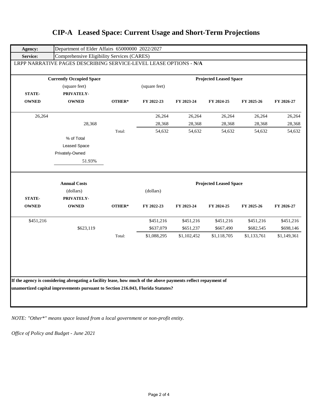|              |                     |        |               |             | <b>Projected Leased Space</b> |             |             |  |  |  |  |
|--------------|---------------------|--------|---------------|-------------|-------------------------------|-------------|-------------|--|--|--|--|
|              | (square feet)       |        | (square feet) |             |                               |             |             |  |  |  |  |
| STATE-       | PRIVATELY-          |        |               |             |                               |             |             |  |  |  |  |
| <b>OWNED</b> | <b>OWNED</b>        | OTHER* | FY 2022-23    | FY 2023-24  | FY 2024-25                    | FY 2025-26  | FY 2026-27  |  |  |  |  |
| 26,264       |                     |        | 26,264        | 26,264      | 26,264                        | 26,264      | 26,264      |  |  |  |  |
|              | 28,368              |        | 28,368        | 28,368      | 28,368                        | 28,368      | 28,368      |  |  |  |  |
|              |                     | Total: | 54,632        | 54,632      | 54,632                        | 54,632      | 54,632      |  |  |  |  |
|              | % of Total          |        |               |             |                               |             |             |  |  |  |  |
|              | <b>Leased Space</b> |        |               |             |                               |             |             |  |  |  |  |
|              | Privately-Owned     |        |               |             |                               |             |             |  |  |  |  |
|              | 51.93%              |        |               |             |                               |             |             |  |  |  |  |
|              | <b>Annual Costs</b> |        |               |             | <b>Projected Leased Space</b> |             |             |  |  |  |  |
|              | (dollars)           |        | (dollars)     |             |                               |             |             |  |  |  |  |
| STATE-       | PRIVATELY-          |        |               |             |                               |             |             |  |  |  |  |
| <b>OWNED</b> | <b>OWNED</b>        | OTHER* | FY 2022-23    | FY 2023-24  | FY 2024-25                    | FY 2025-26  | FY 2026-27  |  |  |  |  |
| \$451,216    |                     |        | \$451,216     | \$451,216   | \$451,216                     | \$451,216   | \$451,216   |  |  |  |  |
|              | \$623,119           |        | \$637,079     | \$651,237   | \$667,490                     | \$682,545   | \$698,146   |  |  |  |  |
|              |                     | Total: | \$1,088,295   | \$1,102,452 | \$1,118,705                   | \$1,133,761 | \$1,149,361 |  |  |  |  |
|              |                     |        |               |             |                               |             |             |  |  |  |  |
|              |                     |        |               |             |                               |             |             |  |  |  |  |
|              |                     |        |               |             |                               |             |             |  |  |  |  |
|              |                     |        |               |             |                               |             |             |  |  |  |  |

*NOTE: "Other\*" means space leased from a local government or non-profit entity.*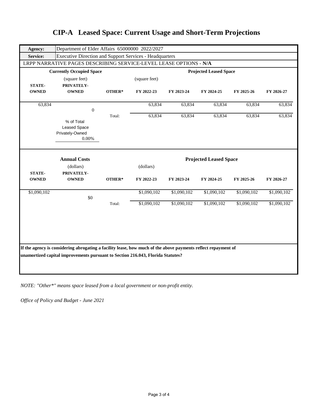| Agency:                       | Department of Elder Affairs 65000000 2022/2027                                                                                                                                                   |        |               |             |                               |             |             |
|-------------------------------|--------------------------------------------------------------------------------------------------------------------------------------------------------------------------------------------------|--------|---------------|-------------|-------------------------------|-------------|-------------|
| <b>Service:</b>               | <b>Executive Direction and Support Services - Headquarters</b>                                                                                                                                   |        |               |             |                               |             |             |
|                               | LRPP NARRATIVE PAGES DESCRIBING SERVICE-LEVEL LEASE OPTIONS - N/A                                                                                                                                |        |               |             |                               |             |             |
|                               | <b>Currently Occupied Space</b>                                                                                                                                                                  |        |               |             | <b>Projected Leased Space</b> |             |             |
|                               | (square feet)                                                                                                                                                                                    |        | (square feet) |             |                               |             |             |
| <b>STATE-</b><br><b>OWNED</b> | PRIVATELY-<br><b>OWNED</b>                                                                                                                                                                       | OTHER* | FY 2022-23    | FY 2023-24  | FY 2024-25                    | FY 2025-26  | FY 2026-27  |
|                               |                                                                                                                                                                                                  |        |               |             |                               |             |             |
| 63,834                        |                                                                                                                                                                                                  |        | 63,834        | 63,834      | 63,834                        | 63,834      | 63,834      |
|                               | $\mathbf{0}$                                                                                                                                                                                     | Total: | 63,834        | 63,834      | 63,834                        | 63,834      | 63,834      |
|                               | % of Total<br><b>Leased Space</b><br>Privately-Owned<br>$0.00\%$                                                                                                                                 |        |               |             |                               |             |             |
|                               | <b>Annual Costs</b>                                                                                                                                                                              |        |               |             | <b>Projected Leased Space</b> |             |             |
|                               | (dollars)                                                                                                                                                                                        |        | (dollars)     |             |                               |             |             |
| <b>STATE-</b><br><b>OWNED</b> | PRIVATELY-<br><b>OWNED</b>                                                                                                                                                                       | OTHER* | FY 2022-23    | FY 2023-24  | FY 2024-25                    | FY 2025-26  | FY 2026-27  |
| \$1,090,102                   | \$0                                                                                                                                                                                              |        | \$1,090,102   | \$1,090,102 | \$1,090,102                   | \$1,090,102 | \$1,090,102 |
|                               |                                                                                                                                                                                                  | Total: | \$1,090,102   | \$1,090,102 | \$1,090,102                   | \$1,090,102 | \$1,090,102 |
|                               | If the agency is considering abrogating a facility lease, how much of the above payments reflect repayment of<br>unamortized capital improvements pursuant to Section 216.043, Florida Statutes? |        |               |             |                               |             |             |

*NOTE: "Other\*" means space leased from a local government or non-profit entity.*